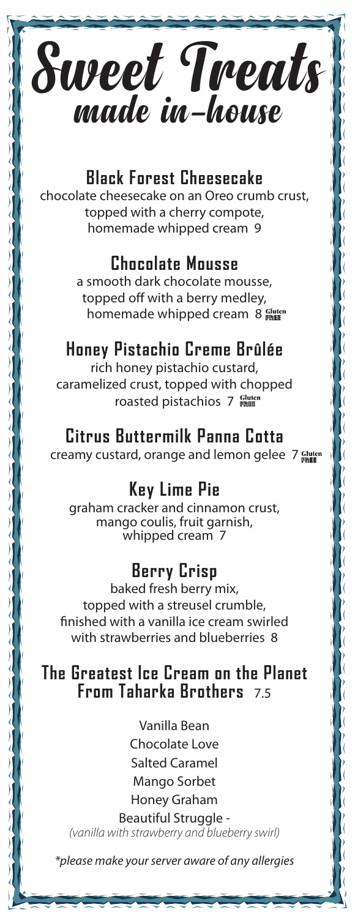

# **Black Forest Cheesecake**

chocolate cheesecake on an Oreo crumb crust, topped with a cherry compote, homemade whipped cream 9

## **Chocolate Mousse**

a smooth dark chocolate mousse, topped off with a berry medley, homemade whipped cream 8 FREE

# **Honey Pistachio Creme Brûlée**

rich honey pistachio custard, caramelized crust, topped with chopped roasted pistachios 7 FREE

## **Citrus Buttermilk Panna Cotta**

creamy custard, orange and lemon gelee 7 Gluten

# **Key Lime Pie**

graham cracker and cinnamon crust, mango coulis, fruit garnish, whipped cream 7

# **Berry Crisp**

baked fresh berry mix, topped with a streusel crumble, finished with a vanilla ice cream swirled with strawberries and blueberries 8

# **The Greatest Ice Cream on the Planet From Taharka Brothers** 7.5

Vanilla Bean Chocolate Love Salted Caramel Mango Sorbet Honey Graham

Beautiful Struggle - *(vanilla with strawberry and blueberry swirl)*

*\*please make your server aware of any allergies*